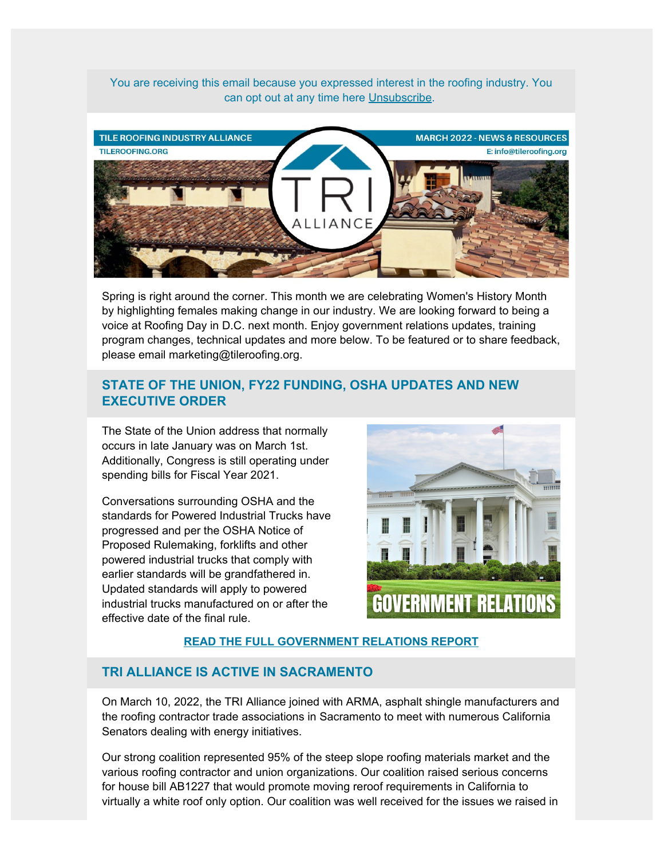You are receiving this email because you expressed interest in the roofing industry. You can opt out at any time here [Unsubscribe](http://manage.kmail-lists.com/subscriptions/placeholder).



Spring is right around the corner. This month we are celebrating Women's History Month by highlighting females making change in our industry. We are looking forward to being a voice at Roofing Day in D.C. next month. Enjoy government relations updates, training program changes, technical updates and more below. To be featured or to share feedback, please email marketing@tileroofing.org.

# **STATE OF THE UNION, FY22 FUNDING, OSHA UPDATES AND NEW EXECUTIVE ORDER**

The State of the Union address that normally occurs in late January was on March 1st. Additionally, Congress is still operating under spending bills for Fiscal Year 2021.

Conversations surrounding OSHA and the standards for Powered Industrial Trucks have progressed and per the OSHA Notice of Proposed Rulemaking, forklifts and other powered industrial trucks that comply with earlier standards will be grandfathered in. Updated standards will apply to powered industrial trucks manufactured on or after the effective date of the final rule.



## **[READ THE FULL GOVERNMENT RELATIONS REPORT](https://tileroofing.org/government-relations/government-relations-in-california/)**

## **TRI ALLIANCE IS ACTIVE IN SACRAMENTO**

On March 10, 2022, the TRI Alliance joined with ARMA, asphalt shingle manufacturers and the roofing contractor trade associations in Sacramento to meet with numerous California Senators dealing with energy initiatives.

Our strong coalition represented 95% of the steep slope roofing materials market and the various roofing contractor and union organizations. Our coalition raised serious concerns for house bill AB1227 that would promote moving reroof requirements in California to virtually a white roof only option. Our coalition was well received for the issues we raised in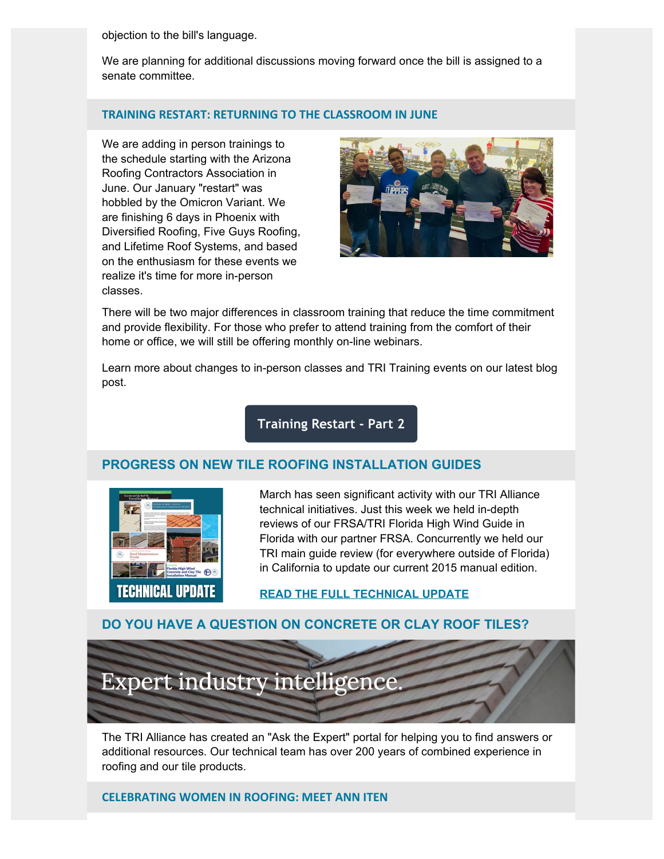objection to the bill's language.

We are planning for additional discussions moving forward once the bill is assigned to a senate committee.

#### **TRAINING RESTART: RETURNING TO THE CLASSROOM IN JUNE**

We are adding in person trainings to the schedule starting with the Arizona Roofing Contractors Association in June. Our January "restart" was hobbled by the Omicron Variant. We are finishing 6 days in Phoenix with Diversified Roofing, Five Guys Roofing, and Lifetime Roof Systems, and based on the enthusiasm for these events we realize it's time for more in-person classes.



There will be two major differences in classroom training that reduce the time commitment and provide flexibility. For those who prefer to attend training from the comfort of their home or office, we will still be offering monthly on-line webinars.

Learn more about changes to in-person classes and TRI Training events on our latest blog post.

# **[Training Restart - Part 2](https://tileroofing.org/installer-training/training-restart-part-2/)**

## **PROGRESS ON NEW TILE ROOFING INSTALLATION GUIDES**



March has seen significant activity with our TRI Alliance technical initiatives. Just this week we held in-depth reviews of our FRSA/TRI Florida High Wind Guide in Florida with our partner FRSA. Concurrently we held our TRI main guide review (for everywhere outside of Florida) in California to update our current 2015 manual edition.

### **[READ THE FULL TECHNICAL UPDATE](https://tileroofing.org/technical-updates/tile-roofing-technical-committee-update-for-march-2022/)**

### **DO YOU HAVE A QUESTION ON CONCRETE OR CLAY ROOF TILES?**



The TRI Alliance has created an "Ask the Expert" portal for helping you to find answers or additional resources. Our technical team has over 200 years of combined experience in roofing and our tile products.

#### **CELEBRATING WOMEN IN ROOFING: MEET ANN ITEN**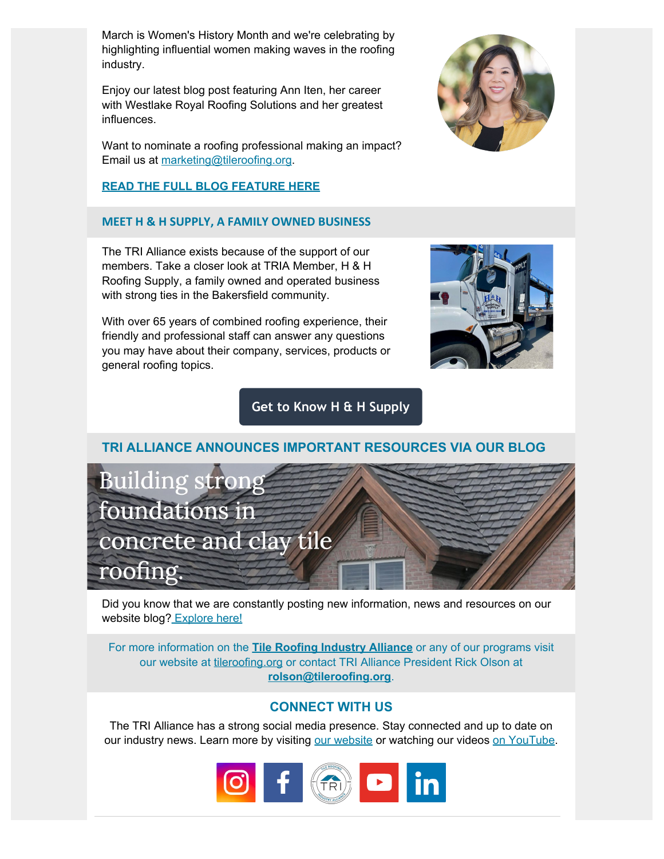March is Women's History Month and we're celebrating by highlighting influential women making waves in the roofing industry.

Enjoy our latest blog post featuring Ann Iten, her career with Westlake Royal Roofing Solutions and her greatest influences.

Want to nominate a roofing professional making an impact? Email us at [marketing@tileroofing.org](mailto:marketing@tileroofing.org?subject=TRIA%20Roofing%20Professional%3A%20Feature%20Story).

# **[READ THE FULL BLOG FEATURE HERE](https://tileroofing.org/industry-insights/celebrating-women-in-roofing-meet-ann-iten/)**

## **MEET H & H SUPPLY, A FAMILY OWNED BUSINESS**

The TRI Alliance exists because of the support of our members. Take a closer look at TRIA Member, H & H Roofing Supply, a family owned and operated business with strong ties in the Bakersfield community.

With over 65 years of combined roofing experience, their friendly and professional staff can answer any questions you may have about their company, services, products or general roofing topics.

# **[Get to Know H & H Supply](https://tileroofing.org/membership/meet-h-h-roofing-supply/)**



Did you know that we are constantly posting new information, news and resources on our website blog[? Explore here!](https://tileroofing.org/blog/)

For more information on the **[Tile Roofing Industry Alliance](https://tileroofing.org/)** or any of our programs visit our website at [tileroofing.org](http://tileroofing.org/) or contact TRI Alliance President Rick Olson at **[rolson@tileroofing.org](mailto:rolson@tileroofing.org?subject=TRIA%20Inquiry)**.

# **CONNECT WITH US**

The TRI Alliance has a strong social media presence. Stay connected and up to date on our industry news. Learn more by visiting [our website](https://tileroofing.org/) or watching our videos [on YouTube](https://www.youtube.com/c/Tileroofingorg1).